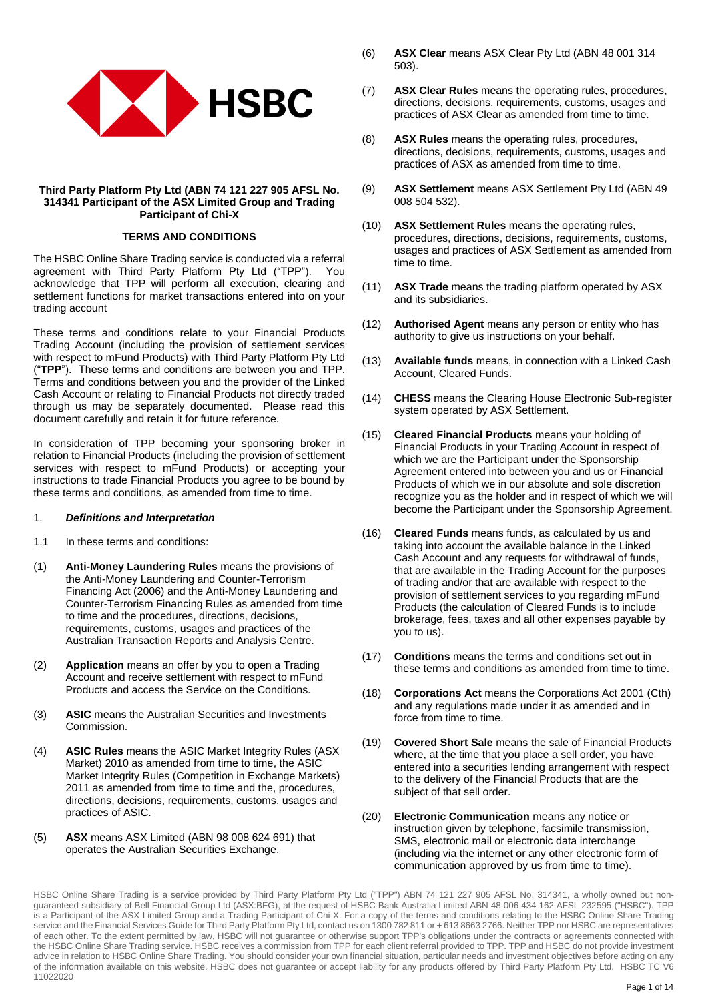

#### **Third Party Platform Pty Ltd (ABN 74 121 227 905 AFSL No. 314341 Participant of the ASX Limited Group and Trading Participant of Chi-X**

# **TERMS AND CONDITIONS**

The HSBC Online Share Trading service is conducted via a referral agreement with Third Party Platform Pty Ltd ("TPP"). You acknowledge that TPP will perform all execution, clearing and settlement functions for market transactions entered into on your trading account

These terms and conditions relate to your Financial Products Trading Account (including the provision of settlement services with respect to mFund Products) with Third Party Platform Pty Ltd ("**TPP**"). These terms and conditions are between you and TPP. Terms and conditions between you and the provider of the Linked Cash Account or relating to Financial Products not directly traded through us may be separately documented. Please read this document carefully and retain it for future reference.

In consideration of TPP becoming your sponsoring broker in relation to Financial Products (including the provision of settlement services with respect to mFund Products) or accepting your instructions to trade Financial Products you agree to be bound by these terms and conditions, as amended from time to time.

### 1. *Definitions and Interpretation*

- 1.1 In these terms and conditions:
- (1) **Anti-Money Laundering Rules** means the provisions of the Anti-Money Laundering and Counter-Terrorism Financing Act (2006) and the Anti-Money Laundering and Counter-Terrorism Financing Rules as amended from time to time and the procedures, directions, decisions, requirements, customs, usages and practices of the Australian Transaction Reports and Analysis Centre.
- (2) **Application** means an offer by you to open a Trading Account and receive settlement with respect to mFund Products and access the Service on the Conditions.
- (3) **ASIC** means the Australian Securities and Investments Commission.
- (4) **ASIC Rules** means the ASIC Market Integrity Rules (ASX Market) 2010 as amended from time to time, the ASIC Market Integrity Rules (Competition in Exchange Markets) 2011 as amended from time to time and the, procedures, directions, decisions, requirements, customs, usages and practices of ASIC.
- (5) **ASX** means ASX Limited (ABN 98 008 624 691) that operates the Australian Securities Exchange.
- (6) **ASX Clear** means ASX Clear Pty Ltd (ABN 48 001 314 503).
- (7) **ASX Clear Rules** means the operating rules, procedures, directions, decisions, requirements, customs, usages and practices of ASX Clear as amended from time to time.
- (8) **ASX Rules** means the operating rules, procedures, directions, decisions, requirements, customs, usages and practices of ASX as amended from time to time.
- (9) **ASX Settlement** means ASX Settlement Pty Ltd (ABN 49 008 504 532).
- (10) **ASX Settlement Rules** means the operating rules, procedures, directions, decisions, requirements, customs, usages and practices of ASX Settlement as amended from time to time.
- (11) **ASX Trade** means the trading platform operated by ASX and its subsidiaries.
- (12) **Authorised Agent** means any person or entity who has authority to give us instructions on your behalf.
- (13) **Available funds** means, in connection with a Linked Cash Account, Cleared Funds.
- (14) **CHESS** means the Clearing House Electronic Sub-register system operated by ASX Settlement.
- (15) **Cleared Financial Products** means your holding of Financial Products in your Trading Account in respect of which we are the Participant under the Sponsorship Agreement entered into between you and us or Financial Products of which we in our absolute and sole discretion recognize you as the holder and in respect of which we will become the Participant under the Sponsorship Agreement.
- (16) **Cleared Funds** means funds, as calculated by us and taking into account the available balance in the Linked Cash Account and any requests for withdrawal of funds, that are available in the Trading Account for the purposes of trading and/or that are available with respect to the provision of settlement services to you regarding mFund Products (the calculation of Cleared Funds is to include brokerage, fees, taxes and all other expenses payable by you to us).
- (17) **Conditions** means the terms and conditions set out in these terms and conditions as amended from time to time.
- (18) **Corporations Act** means the Corporations Act 2001 (Cth) and any regulations made under it as amended and in force from time to time.
- (19) **Covered Short Sale** means the sale of Financial Products where, at the time that you place a sell order, you have entered into a securities lending arrangement with respect to the delivery of the Financial Products that are the subject of that sell order.
- (20) **Electronic Communication** means any notice or instruction given by telephone, facsimile transmission, SMS, electronic mail or electronic data interchange (including via the internet or any other electronic form of communication approved by us from time to time).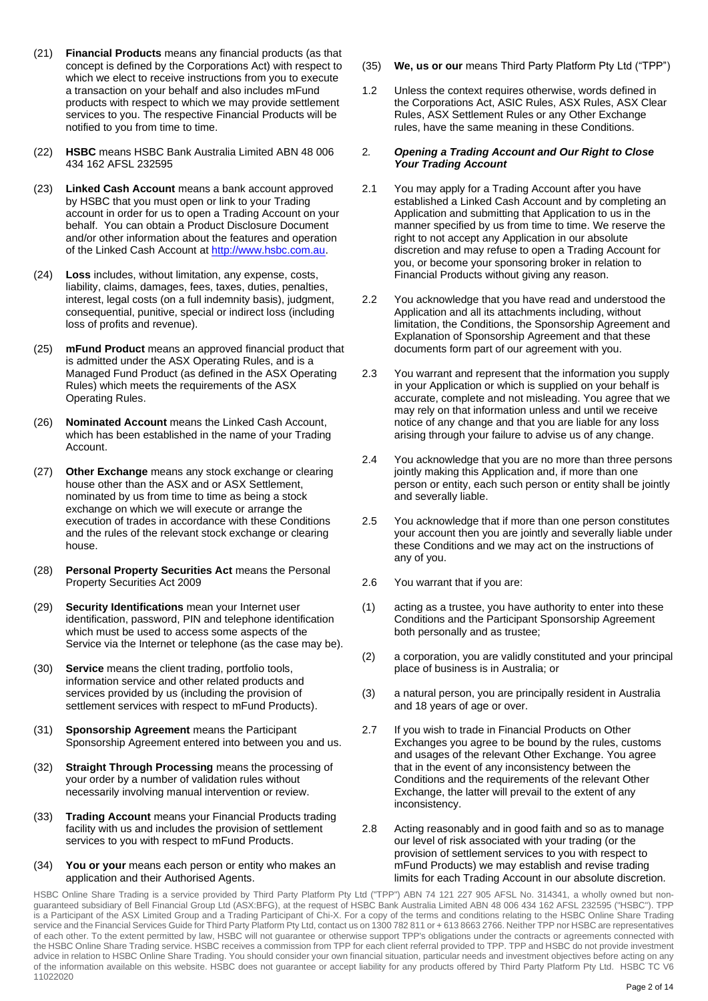- (21) **Financial Products** means any financial products (as that concept is defined by the Corporations Act) with respect to which we elect to receive instructions from you to execute a transaction on your behalf and also includes mFund products with respect to which we may provide settlement services to you. The respective Financial Products will be notified to you from time to time.
- (22) **HSBC** means HSBC Bank Australia Limited ABN 48 006 434 162 AFSL 232595
- (23) **Linked Cash Account** means a bank account approved by HSBC that you must open or link to your Trading account in order for us to open a Trading Account on your behalf. You can obtain a Product Disclosure Document and/or other information about the features and operation of the Linked Cash Account at [http://www.hsbc.com.au.](http://www.hsbc.com.au/)
- (24) **Loss** includes, without limitation, any expense, costs, liability, claims, damages, fees, taxes, duties, penalties, interest, legal costs (on a full indemnity basis), judgment, consequential, punitive, special or indirect loss (including loss of profits and revenue).
- (25) **mFund Product** means an approved financial product that is admitted under the ASX Operating Rules, and is a Managed Fund Product (as defined in the ASX Operating Rules) which meets the requirements of the ASX Operating Rules.
- (26) **Nominated Account** means the Linked Cash Account, which has been established in the name of your Trading Account.
- (27) **Other Exchange** means any stock exchange or clearing house other than the ASX and or ASX Settlement, nominated by us from time to time as being a stock exchange on which we will execute or arrange the execution of trades in accordance with these Conditions and the rules of the relevant stock exchange or clearing house.
- (28) **Personal Property Securities Act** means the Personal Property Securities Act 2009
- (29) **Security Identifications** mean your Internet user identification, password, PIN and telephone identification which must be used to access some aspects of the Service via the Internet or telephone (as the case may be).
- (30) **Service** means the client trading, portfolio tools, information service and other related products and services provided by us (including the provision of settlement services with respect to mFund Products).
- (31) **Sponsorship Agreement** means the Participant Sponsorship Agreement entered into between you and us.
- (32) **Straight Through Processing** means the processing of your order by a number of validation rules without necessarily involving manual intervention or review.
- (33) **Trading Account** means your Financial Products trading facility with us and includes the provision of settlement services to you with respect to mFund Products.
- (34) **You or your** means each person or entity who makes an application and their Authorised Agents.
- (35) **We, us or our** means Third Party Platform Pty Ltd ("TPP")
- 1.2 Unless the context requires otherwise, words defined in the Corporations Act, ASIC Rules, ASX Rules, ASX Clear Rules, ASX Settlement Rules or any Other Exchange rules, have the same meaning in these Conditions.

#### 2*. Opening a Trading Account and Our Right to Close Your Trading Account*

- 2.1 You may apply for a Trading Account after you have established a Linked Cash Account and by completing an Application and submitting that Application to us in the manner specified by us from time to time. We reserve the right to not accept any Application in our absolute discretion and may refuse to open a Trading Account for you, or become your sponsoring broker in relation to Financial Products without giving any reason.
- 2.2 You acknowledge that you have read and understood the Application and all its attachments including, without limitation, the Conditions, the Sponsorship Agreement and Explanation of Sponsorship Agreement and that these documents form part of our agreement with you.
- 2.3 You warrant and represent that the information you supply in your Application or which is supplied on your behalf is accurate, complete and not misleading. You agree that we may rely on that information unless and until we receive notice of any change and that you are liable for any loss arising through your failure to advise us of any change.
- 2.4 You acknowledge that you are no more than three persons jointly making this Application and, if more than one person or entity, each such person or entity shall be jointly and severally liable.
- 2.5 You acknowledge that if more than one person constitutes your account then you are jointly and severally liable under these Conditions and we may act on the instructions of any of you.
- 2.6 You warrant that if you are:
- (1) acting as a trustee, you have authority to enter into these Conditions and the Participant Sponsorship Agreement both personally and as trustee;
- (2) a corporation, you are validly constituted and your principal place of business is in Australia; or
- (3) a natural person, you are principally resident in Australia and 18 years of age or over.
- 2.7 If you wish to trade in Financial Products on Other Exchanges you agree to be bound by the rules, customs and usages of the relevant Other Exchange. You agree that in the event of any inconsistency between the Conditions and the requirements of the relevant Other Exchange, the latter will prevail to the extent of any inconsistency.
- 2.8 Acting reasonably and in good faith and so as to manage our level of risk associated with your trading (or the provision of settlement services to you with respect to mFund Products) we may establish and revise trading limits for each Trading Account in our absolute discretion.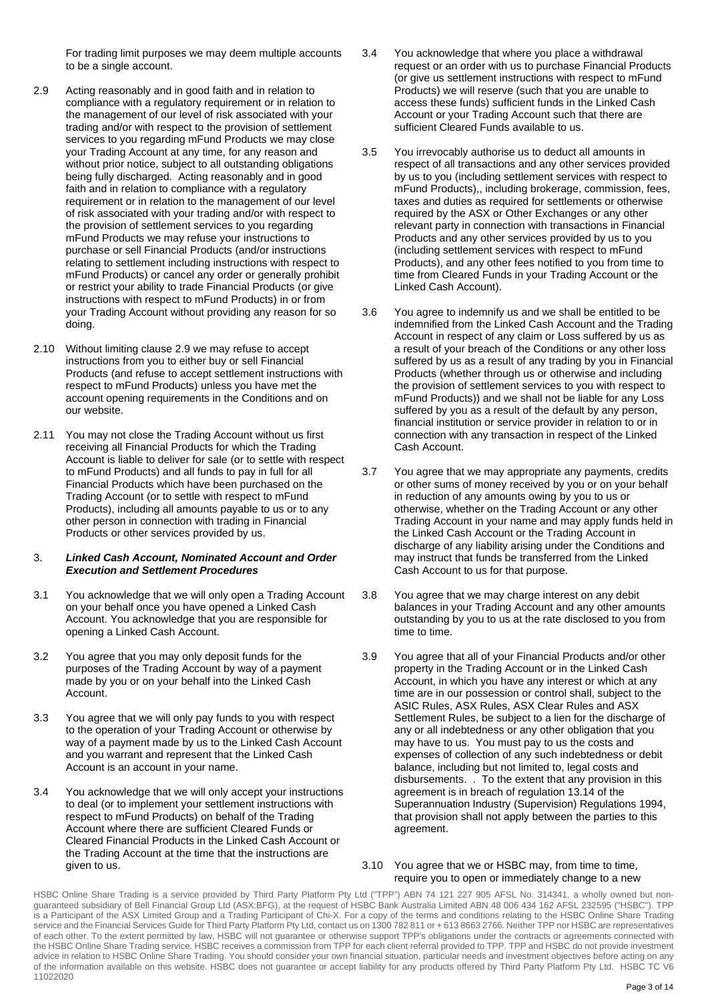For trading limit purposes we may deem multiple accounts to be a single account.

- 2.9 Acting reasonably and in good faith and in relation to compliance with a regulatory requirement or in relation to the management of our level of risk associated with your trading and/or with respect to the provision of settlement services to you regarding mFund Products we may close your Trading Account at any time, for any reason and without prior notice, subject to all outstanding obligations being fully discharged. Acting reasonably and in good faith and in relation to compliance with a regulatory requirement or in relation to the management of our level of risk associated with your trading and/or with respect to the provision of settlement services to you regarding mFund Products we may refuse your instructions to purchase or sell Financial Products (and/or instructions relating to settlement including instructions with respect to mFund Products) or cancel any order or generally prohibit or restrict your ability to trade Financial Products (or give instructions with respect to mFund Products) in or from your Trading Account without providing any reason for so doing.
- 2.10 Without limiting clause 2.9 we may refuse to accept instructions from you to either buy or sell Financial Products (and refuse to accept settlement instructions with respect to mFund Products) unless you have met the account opening requirements in the Conditions and on our website.
- 2.11 You may not close the Trading Account without us first receiving all Financial Products for which the Trading Account is liable to deliver for sale (or to settle with respect to mFund Products) and all funds to pay in full for all Financial Products which have been purchased on the Trading Account (or to settle with respect to mFund Products), including all amounts payable to us or to any other person in connection with trading in Financial Products or other services provided by us.

### 3. *Linked Cash Account, Nominated Account and Order Execution and Settlement Procedures*

- 3.1 You acknowledge that we will only open a Trading Account on your behalf once you have opened a Linked Cash Account. You acknowledge that you are responsible for opening a Linked Cash Account.
- 3.2 You agree that you may only deposit funds for the purposes of the Trading Account by way of a payment made by you or on your behalf into the Linked Cash Account.
- 3.3 You agree that we will only pay funds to you with respect to the operation of your Trading Account or otherwise by way of a payment made by us to the Linked Cash Account and you warrant and represent that the Linked Cash Account is an account in your name.
- 3.4 You acknowledge that we will only accept your instructions to deal (or to implement your settlement instructions with respect to mFund Products) on behalf of the Trading Account where there are sufficient Cleared Funds or Cleared Financial Products in the Linked Cash Account or the Trading Account at the time that the instructions are given to us.
- 3.4 You acknowledge that where you place a withdrawal request or an order with us to purchase Financial Products (or give us settlement instructions with respect to mFund Products) we will reserve (such that you are unable to access these funds) sufficient funds in the Linked Cash Account or your Trading Account such that there are sufficient Cleared Funds available to us.
- 3.5 You irrevocably authorise us to deduct all amounts in respect of all transactions and any other services provided by us to you (including settlement services with respect to mFund Products),, including brokerage, commission, fees, taxes and duties as required for settlements or otherwise required by the ASX or Other Exchanges or any other relevant party in connection with transactions in Financial Products and any other services provided by us to you (including settlement services with respect to mFund Products), and any other fees notified to you from time to time from Cleared Funds in your Trading Account or the Linked Cash Account).
- 3.6 You agree to indemnify us and we shall be entitled to be indemnified from the Linked Cash Account and the Trading Account in respect of any claim or Loss suffered by us as a result of your breach of the Conditions or any other loss suffered by us as a result of any trading by you in Financial Products (whether through us or otherwise and including the provision of settlement services to you with respect to mFund Products)) and we shall not be liable for any Loss suffered by you as a result of the default by any person, financial institution or service provider in relation to or in connection with any transaction in respect of the Linked Cash Account.
- 3.7 You agree that we may appropriate any payments, credits or other sums of money received by you or on your behalf in reduction of any amounts owing by you to us or otherwise, whether on the Trading Account or any other Trading Account in your name and may apply funds held in the Linked Cash Account or the Trading Account in discharge of any liability arising under the Conditions and may instruct that funds be transferred from the Linked Cash Account to us for that purpose.
- 3.8 You agree that we may charge interest on any debit balances in your Trading Account and any other amounts outstanding by you to us at the rate disclosed to you from time to time.
- 3.9 You agree that all of your Financial Products and/or other property in the Trading Account or in the Linked Cash Account, in which you have any interest or which at any time are in our possession or control shall, subject to the ASIC Rules, ASX Rules, ASX Clear Rules and ASX Settlement Rules, be subject to a lien for the discharge of any or all indebtedness or any other obligation that you may have to us. You must pay to us the costs and expenses of collection of any such indebtedness or debit balance, including but not limited to, legal costs and disbursements. . To the extent that any provision in this agreement is in breach of regulation 13.14 of the Superannuation Industry (Supervision) Regulations 1994, that provision shall not apply between the parties to this agreement.

### 3.10 You agree that we or HSBC may, from time to time, require you to open or immediately change to a new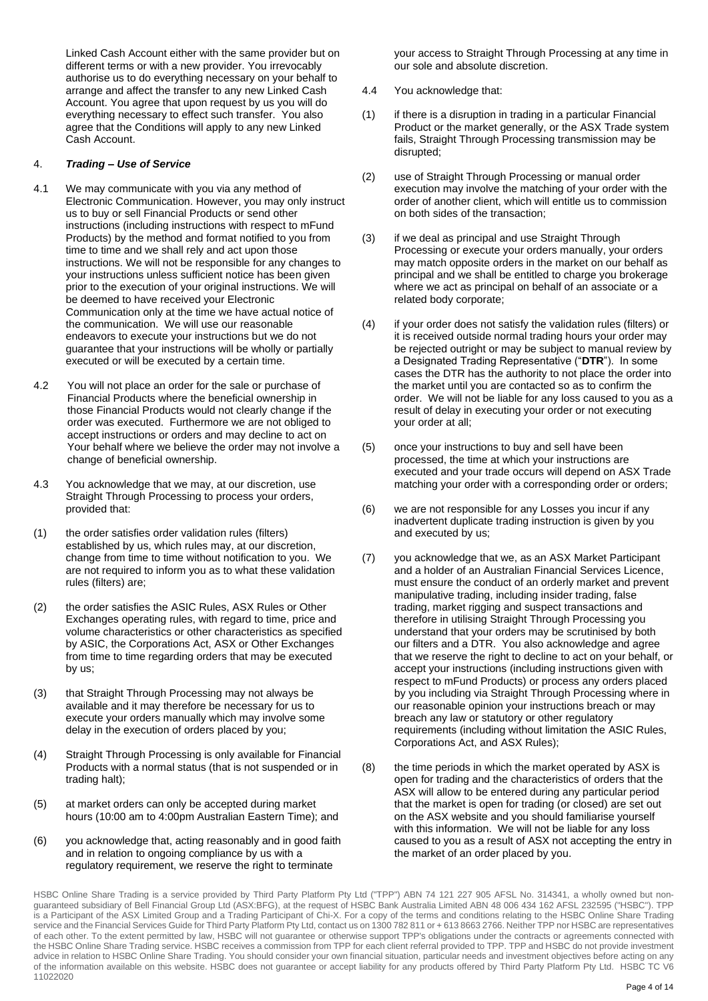Linked Cash Account either with the same provider but on different terms or with a new provider. You irrevocably authorise us to do everything necessary on your behalf to arrange and affect the transfer to any new Linked Cash Account. You agree that upon request by us you will do everything necessary to effect such transfer. You also agree that the Conditions will apply to any new Linked Cash Account.

# 4. *Trading – Use of Service*

- 4.1 We may communicate with you via any method of Electronic Communication. However, you may only instruct us to buy or sell Financial Products or send other instructions (including instructions with respect to mFund Products) by the method and format notified to you from time to time and we shall rely and act upon those instructions. We will not be responsible for any changes to your instructions unless sufficient notice has been given prior to the execution of your original instructions. We will be deemed to have received your Electronic Communication only at the time we have actual notice of the communication. We will use our reasonable endeavors to execute your instructions but we do not guarantee that your instructions will be wholly or partially executed or will be executed by a certain time.
- 4.2 You will not place an order for the sale or purchase of Financial Products where the beneficial ownership in those Financial Products would not clearly change if the order was executed. Furthermore we are not obliged to accept instructions or orders and may decline to act on Your behalf where we believe the order may not involve a change of beneficial ownership.
- 4.3 You acknowledge that we may, at our discretion, use Straight Through Processing to process your orders, provided that:
- (1) the order satisfies order validation rules (filters) established by us, which rules may, at our discretion, change from time to time without notification to you. We are not required to inform you as to what these validation rules (filters) are;
- (2) the order satisfies the ASIC Rules, ASX Rules or Other Exchanges operating rules, with regard to time, price and volume characteristics or other characteristics as specified by ASIC, the Corporations Act, ASX or Other Exchanges from time to time regarding orders that may be executed by us;
- (3) that Straight Through Processing may not always be available and it may therefore be necessary for us to execute your orders manually which may involve some delay in the execution of orders placed by you;
- (4) Straight Through Processing is only available for Financial Products with a normal status (that is not suspended or in trading halt);
- (5) at market orders can only be accepted during market hours (10:00 am to 4:00pm Australian Eastern Time); and
- (6) you acknowledge that, acting reasonably and in good faith and in relation to ongoing compliance by us with a regulatory requirement, we reserve the right to terminate

your access to Straight Through Processing at any time in our sole and absolute discretion.

- 4.4 You acknowledge that:
- (1) if there is a disruption in trading in a particular Financial Product or the market generally, or the ASX Trade system fails, Straight Through Processing transmission may be disrupted;
- (2) use of Straight Through Processing or manual order execution may involve the matching of your order with the order of another client, which will entitle us to commission on both sides of the transaction;
- (3) if we deal as principal and use Straight Through Processing or execute your orders manually, your orders may match opposite orders in the market on our behalf as principal and we shall be entitled to charge you brokerage where we act as principal on behalf of an associate or a related body corporate;
- (4) if your order does not satisfy the validation rules (filters) or it is received outside normal trading hours your order may be rejected outright or may be subject to manual review by a Designated Trading Representative ("**DTR**"). In some cases the DTR has the authority to not place the order into the market until you are contacted so as to confirm the order. We will not be liable for any loss caused to you as a result of delay in executing your order or not executing your order at all;
- (5) once your instructions to buy and sell have been processed, the time at which your instructions are executed and your trade occurs will depend on ASX Trade matching your order with a corresponding order or orders;
- (6) we are not responsible for any Losses you incur if any inadvertent duplicate trading instruction is given by you and executed by us;
- (7) you acknowledge that we, as an ASX Market Participant and a holder of an Australian Financial Services Licence, must ensure the conduct of an orderly market and prevent manipulative trading, including insider trading, false trading, market rigging and suspect transactions and therefore in utilising Straight Through Processing you understand that your orders may be scrutinised by both our filters and a DTR. You also acknowledge and agree that we reserve the right to decline to act on your behalf, or accept your instructions (including instructions given with respect to mFund Products) or process any orders placed by you including via Straight Through Processing where in our reasonable opinion your instructions breach or may breach any law or statutory or other regulatory requirements (including without limitation the ASIC Rules, Corporations Act, and ASX Rules);
- (8) the time periods in which the market operated by ASX is open for trading and the characteristics of orders that the ASX will allow to be entered during any particular period that the market is open for trading (or closed) are set out on the ASX website and you should familiarise yourself with this information. We will not be liable for any loss caused to you as a result of ASX not accepting the entry in the market of an order placed by you.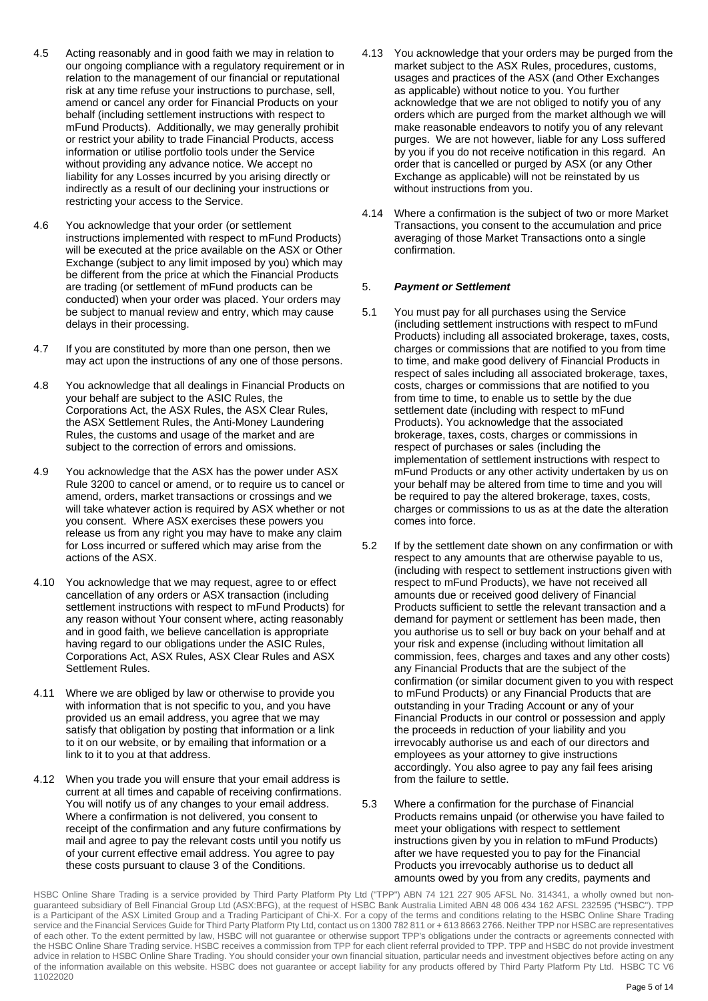- 4.5 Acting reasonably and in good faith we may in relation to our ongoing compliance with a regulatory requirement or in relation to the management of our financial or reputational risk at any time refuse your instructions to purchase, sell, amend or cancel any order for Financial Products on your behalf (including settlement instructions with respect to mFund Products). Additionally, we may generally prohibit or restrict your ability to trade Financial Products, access information or utilise portfolio tools under the Service without providing any advance notice. We accept no liability for any Losses incurred by you arising directly or indirectly as a result of our declining your instructions or restricting your access to the Service.
- 4.6 You acknowledge that your order (or settlement instructions implemented with respect to mFund Products) will be executed at the price available on the ASX or Other Exchange (subject to any limit imposed by you) which may be different from the price at which the Financial Products are trading (or settlement of mFund products can be conducted) when your order was placed. Your orders may be subject to manual review and entry, which may cause delays in their processing.
- 4.7 If you are constituted by more than one person, then we may act upon the instructions of any one of those persons.
- 4.8 You acknowledge that all dealings in Financial Products on your behalf are subject to the ASIC Rules, the Corporations Act, the ASX Rules, the ASX Clear Rules, the ASX Settlement Rules, the Anti-Money Laundering Rules, the customs and usage of the market and are subject to the correction of errors and omissions.
- 4.9 You acknowledge that the ASX has the power under ASX Rule 3200 to cancel or amend, or to require us to cancel or amend, orders, market transactions or crossings and we will take whatever action is required by ASX whether or not you consent. Where ASX exercises these powers you release us from any right you may have to make any claim for Loss incurred or suffered which may arise from the actions of the ASX.
- 4.10 You acknowledge that we may request, agree to or effect cancellation of any orders or ASX transaction (including settlement instructions with respect to mFund Products) for any reason without Your consent where, acting reasonably and in good faith, we believe cancellation is appropriate having regard to our obligations under the ASIC Rules, Corporations Act, ASX Rules, ASX Clear Rules and ASX Settlement Rules.
- 4.11 Where we are obliged by law or otherwise to provide you with information that is not specific to you, and you have provided us an email address, you agree that we may satisfy that obligation by posting that information or a link to it on our website, or by emailing that information or a link to it to you at that address.
- 4.12 When you trade you will ensure that your email address is current at all times and capable of receiving confirmations. You will notify us of any changes to your email address. Where a confirmation is not delivered, you consent to receipt of the confirmation and any future confirmations by mail and agree to pay the relevant costs until you notify us of your current effective email address. You agree to pay these costs pursuant to clause 3 of the Conditions.
- 4.13 You acknowledge that your orders may be purged from the market subject to the ASX Rules, procedures, customs, usages and practices of the ASX (and Other Exchanges as applicable) without notice to you. You further acknowledge that we are not obliged to notify you of any orders which are purged from the market although we will make reasonable endeavors to notify you of any relevant purges. We are not however, liable for any Loss suffered by you if you do not receive notification in this regard. An order that is cancelled or purged by ASX (or any Other Exchange as applicable) will not be reinstated by us without instructions from you.
- 4.14 Where a confirmation is the subject of two or more Market Transactions, you consent to the accumulation and price averaging of those Market Transactions onto a single confirmation.

# 5. *Payment or Settlement*

- 5.1 You must pay for all purchases using the Service (including settlement instructions with respect to mFund Products) including all associated brokerage, taxes, costs, charges or commissions that are notified to you from time to time, and make good delivery of Financial Products in respect of sales including all associated brokerage, taxes, costs, charges or commissions that are notified to you from time to time, to enable us to settle by the due settlement date (including with respect to mFund Products). You acknowledge that the associated brokerage, taxes, costs, charges or commissions in respect of purchases or sales (including the implementation of settlement instructions with respect to mFund Products or any other activity undertaken by us on your behalf may be altered from time to time and you will be required to pay the altered brokerage, taxes, costs, charges or commissions to us as at the date the alteration comes into force.
- 5.2 If by the settlement date shown on any confirmation or with respect to any amounts that are otherwise payable to us, (including with respect to settlement instructions given with respect to mFund Products), we have not received all amounts due or received good delivery of Financial Products sufficient to settle the relevant transaction and a demand for payment or settlement has been made, then you authorise us to sell or buy back on your behalf and at your risk and expense (including without limitation all commission, fees, charges and taxes and any other costs) any Financial Products that are the subject of the confirmation (or similar document given to you with respect to mFund Products) or any Financial Products that are outstanding in your Trading Account or any of your Financial Products in our control or possession and apply the proceeds in reduction of your liability and you irrevocably authorise us and each of our directors and employees as your attorney to give instructions accordingly. You also agree to pay any fail fees arising from the failure to settle.
- 5.3 Where a confirmation for the purchase of Financial Products remains unpaid (or otherwise you have failed to meet your obligations with respect to settlement instructions given by you in relation to mFund Products) after we have requested you to pay for the Financial Products you irrevocably authorise us to deduct all amounts owed by you from any credits, payments and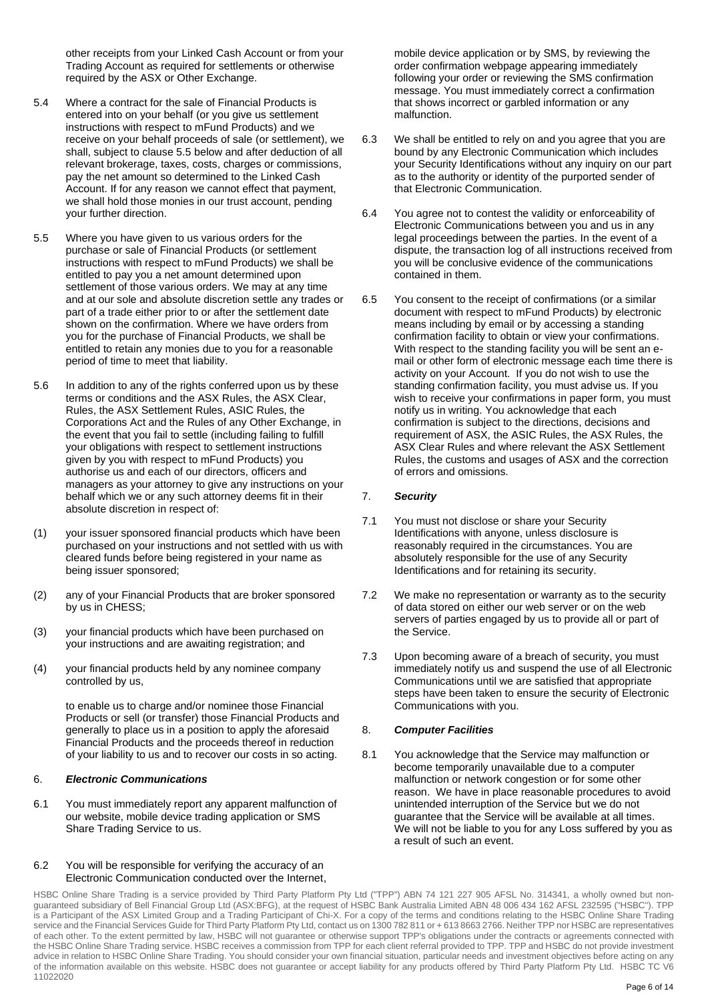other receipts from your Linked Cash Account or from your Trading Account as required for settlements or otherwise required by the ASX or Other Exchange.

- 5.4 Where a contract for the sale of Financial Products is entered into on your behalf (or you give us settlement instructions with respect to mFund Products) and we receive on your behalf proceeds of sale (or settlement), we shall, subject to clause 5.5 below and after deduction of all relevant brokerage, taxes, costs, charges or commissions, pay the net amount so determined to the Linked Cash Account. If for any reason we cannot effect that payment, we shall hold those monies in our trust account, pending your further direction.
- 5.5 Where you have given to us various orders for the purchase or sale of Financial Products (or settlement instructions with respect to mFund Products) we shall be entitled to pay you a net amount determined upon settlement of those various orders. We may at any time and at our sole and absolute discretion settle any trades or part of a trade either prior to or after the settlement date shown on the confirmation. Where we have orders from you for the purchase of Financial Products, we shall be entitled to retain any monies due to you for a reasonable period of time to meet that liability.
- 5.6 In addition to any of the rights conferred upon us by these terms or conditions and the ASX Rules, the ASX Clear, Rules, the ASX Settlement Rules, ASIC Rules, the Corporations Act and the Rules of any Other Exchange, in the event that you fail to settle (including failing to fulfill your obligations with respect to settlement instructions given by you with respect to mFund Products) you authorise us and each of our directors, officers and managers as your attorney to give any instructions on your behalf which we or any such attorney deems fit in their absolute discretion in respect of:
- (1) your issuer sponsored financial products which have been purchased on your instructions and not settled with us with cleared funds before being registered in your name as being issuer sponsored;
- (2) any of your Financial Products that are broker sponsored by us in CHESS;
- (3) your financial products which have been purchased on your instructions and are awaiting registration; and
- (4) your financial products held by any nominee company controlled by us,

to enable us to charge and/or nominee those Financial Products or sell (or transfer) those Financial Products and generally to place us in a position to apply the aforesaid Financial Products and the proceeds thereof in reduction of your liability to us and to recover our costs in so acting.

### 6. *Electronic Communications*

6.1 You must immediately report any apparent malfunction of our website, mobile device trading application or SMS Share Trading Service to us.

### 6.2 You will be responsible for verifying the accuracy of an Electronic Communication conducted over the Internet,

mobile device application or by SMS, by reviewing the order confirmation webpage appearing immediately following your order or reviewing the SMS confirmation message. You must immediately correct a confirmation that shows incorrect or garbled information or any malfunction.

- 6.3 We shall be entitled to rely on and you agree that you are bound by any Electronic Communication which includes your Security Identifications without any inquiry on our part as to the authority or identity of the purported sender of that Electronic Communication.
- 6.4 You agree not to contest the validity or enforceability of Electronic Communications between you and us in any legal proceedings between the parties. In the event of a dispute, the transaction log of all instructions received from you will be conclusive evidence of the communications contained in them.
- 6.5 You consent to the receipt of confirmations (or a similar document with respect to mFund Products) by electronic means including by email or by accessing a standing confirmation facility to obtain or view your confirmations. With respect to the standing facility you will be sent an email or other form of electronic message each time there is activity on your Account. If you do not wish to use the standing confirmation facility, you must advise us. If you wish to receive your confirmations in paper form, you must notify us in writing. You acknowledge that each confirmation is subject to the directions, decisions and requirement of ASX, the ASIC Rules, the ASX Rules, the ASX Clear Rules and where relevant the ASX Settlement Rules, the customs and usages of ASX and the correction of errors and omissions.

# 7. *Security*

- 7.1 You must not disclose or share your Security Identifications with anyone, unless disclosure is reasonably required in the circumstances. You are absolutely responsible for the use of any Security Identifications and for retaining its security.
- 7.2 We make no representation or warranty as to the security of data stored on either our web server or on the web servers of parties engaged by us to provide all or part of the Service.
- 7.3 Upon becoming aware of a breach of security, you must immediately notify us and suspend the use of all Electronic Communications until we are satisfied that appropriate steps have been taken to ensure the security of Electronic Communications with you.

# 8. *Computer Facilities*

8.1 You acknowledge that the Service may malfunction or become temporarily unavailable due to a computer malfunction or network congestion or for some other reason. We have in place reasonable procedures to avoid unintended interruption of the Service but we do not guarantee that the Service will be available at all times. We will not be liable to you for any Loss suffered by you as a result of such an event.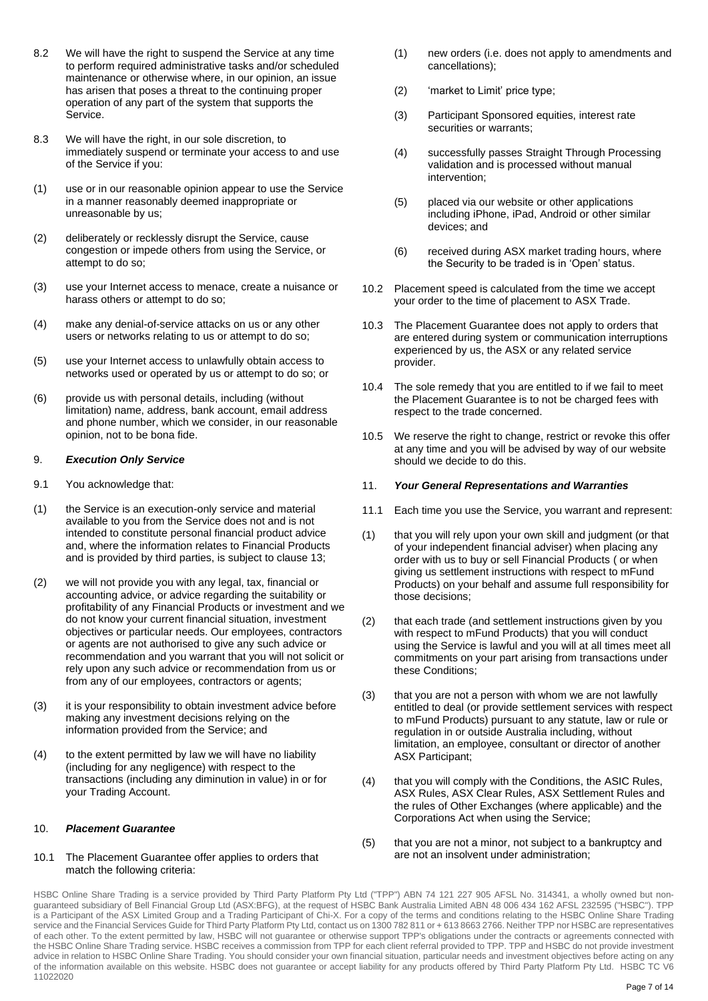- 8.2 We will have the right to suspend the Service at any time to perform required administrative tasks and/or scheduled maintenance or otherwise where, in our opinion, an issue has arisen that poses a threat to the continuing proper operation of any part of the system that supports the Service.
- 8.3 We will have the right, in our sole discretion, to immediately suspend or terminate your access to and use of the Service if you:
- (1) use or in our reasonable opinion appear to use the Service in a manner reasonably deemed inappropriate or unreasonable by us;
- (2) deliberately or recklessly disrupt the Service, cause congestion or impede others from using the Service, or attempt to do so;
- (3) use your Internet access to menace, create a nuisance or harass others or attempt to do so;
- (4) make any denial-of-service attacks on us or any other users or networks relating to us or attempt to do so;
- (5) use your Internet access to unlawfully obtain access to networks used or operated by us or attempt to do so; or
- (6) provide us with personal details, including (without limitation) name, address, bank account, email address and phone number, which we consider, in our reasonable opinion, not to be bona fide.

### 9. *Execution Only Service*

- 9.1 You acknowledge that:
- (1) the Service is an execution-only service and material available to you from the Service does not and is not intended to constitute personal financial product advice and, where the information relates to Financial Products and is provided by third parties, is subject to clause 13;
- (2) we will not provide you with any legal, tax, financial or accounting advice, or advice regarding the suitability or profitability of any Financial Products or investment and we do not know your current financial situation, investment objectives or particular needs. Our employees, contractors or agents are not authorised to give any such advice or recommendation and you warrant that you will not solicit or rely upon any such advice or recommendation from us or from any of our employees, contractors or agents;
- (3) it is your responsibility to obtain investment advice before making any investment decisions relying on the information provided from the Service; and
- (4) to the extent permitted by law we will have no liability (including for any negligence) with respect to the transactions (including any diminution in value) in or for your Trading Account.

# 10. *Placement Guarantee*

### 10.1 The Placement Guarantee offer applies to orders that match the following criteria:

- (1) new orders (i.e. does not apply to amendments and cancellations);
- (2) 'market to Limit' price type;
- (3) Participant Sponsored equities, interest rate securities or warrants;
- (4) successfully passes Straight Through Processing validation and is processed without manual intervention;
- (5) placed via our website or other applications including iPhone, iPad, Android or other similar devices; and
- (6) received during ASX market trading hours, where the Security to be traded is in 'Open' status.
- 10.2 Placement speed is calculated from the time we accept your order to the time of placement to ASX Trade.
- 10.3 The Placement Guarantee does not apply to orders that are entered during system or communication interruptions experienced by us, the ASX or any related service provider.
- 10.4 The sole remedy that you are entitled to if we fail to meet the Placement Guarantee is to not be charged fees with respect to the trade concerned.
- 10.5 We reserve the right to change, restrict or revoke this offer at any time and you will be advised by way of our website should we decide to do this.

# 11. *Your General Representations and Warranties*

- 11.1 Each time you use the Service, you warrant and represent:
- (1) that you will rely upon your own skill and judgment (or that of your independent financial adviser) when placing any order with us to buy or sell Financial Products ( or when giving us settlement instructions with respect to mFund Products) on your behalf and assume full responsibility for those decisions;
- (2) that each trade (and settlement instructions given by you with respect to mFund Products) that you will conduct using the Service is lawful and you will at all times meet all commitments on your part arising from transactions under these Conditions;
- (3) that you are not a person with whom we are not lawfully entitled to deal (or provide settlement services with respect to mFund Products) pursuant to any statute, law or rule or regulation in or outside Australia including, without limitation, an employee, consultant or director of another ASX Participant;
- (4) that you will comply with the Conditions, the ASIC Rules, ASX Rules, ASX Clear Rules, ASX Settlement Rules and the rules of Other Exchanges (where applicable) and the Corporations Act when using the Service;
- (5) that you are not a minor, not subject to a bankruptcy and are not an insolvent under administration;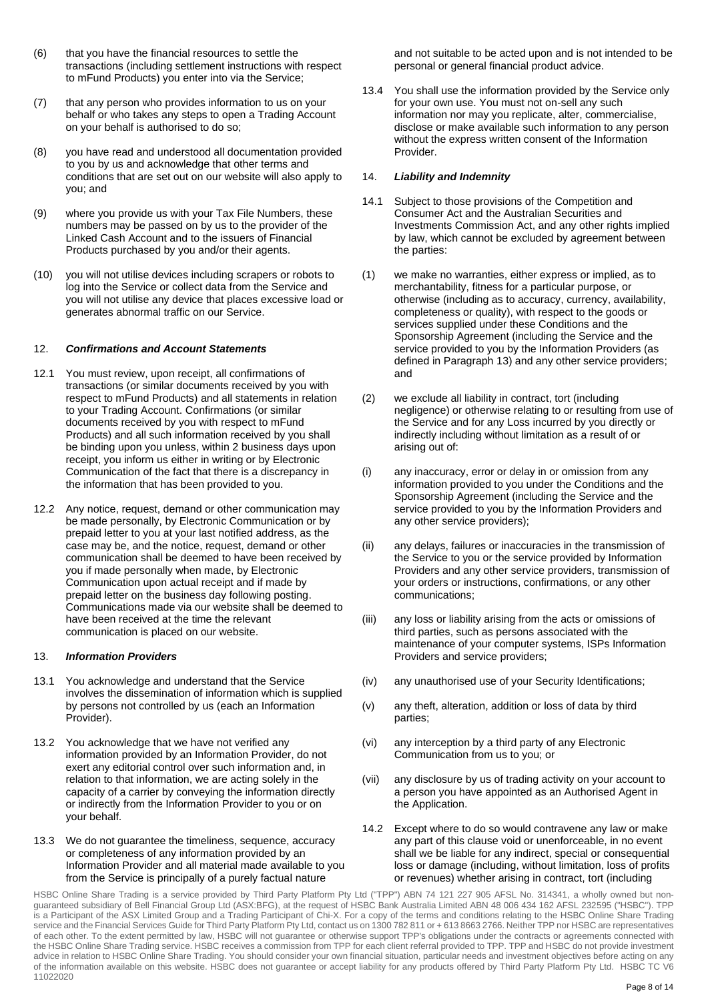- (6) that you have the financial resources to settle the transactions (including settlement instructions with respect to mFund Products) you enter into via the Service;
- (7) that any person who provides information to us on your behalf or who takes any steps to open a Trading Account on your behalf is authorised to do so;
- (8) you have read and understood all documentation provided to you by us and acknowledge that other terms and conditions that are set out on our website will also apply to you; and
- (9) where you provide us with your Tax File Numbers, these numbers may be passed on by us to the provider of the Linked Cash Account and to the issuers of Financial Products purchased by you and/or their agents.
- (10) you will not utilise devices including scrapers or robots to log into the Service or collect data from the Service and you will not utilise any device that places excessive load or generates abnormal traffic on our Service.

# 12. *Confirmations and Account Statements*

- 12.1 You must review, upon receipt, all confirmations of transactions (or similar documents received by you with respect to mFund Products) and all statements in relation to your Trading Account. Confirmations (or similar documents received by you with respect to mFund Products) and all such information received by you shall be binding upon you unless, within 2 business days upon receipt, you inform us either in writing or by Electronic Communication of the fact that there is a discrepancy in the information that has been provided to you.
- 12.2 Any notice, request, demand or other communication may be made personally, by Electronic Communication or by prepaid letter to you at your last notified address, as the case may be, and the notice, request, demand or other communication shall be deemed to have been received by you if made personally when made, by Electronic Communication upon actual receipt and if made by prepaid letter on the business day following posting. Communications made via our website shall be deemed to have been received at the time the relevant communication is placed on our website.

### 13. *Information Providers*

- 13.1 You acknowledge and understand that the Service involves the dissemination of information which is supplied by persons not controlled by us (each an Information Provider).
- 13.2 You acknowledge that we have not verified any information provided by an Information Provider, do not exert any editorial control over such information and, in relation to that information, we are acting solely in the capacity of a carrier by conveying the information directly or indirectly from the Information Provider to you or on your behalf.
- 13.3 We do not guarantee the timeliness, sequence, accuracy or completeness of any information provided by an Information Provider and all material made available to you from the Service is principally of a purely factual nature

and not suitable to be acted upon and is not intended to be personal or general financial product advice.

13.4 You shall use the information provided by the Service only for your own use. You must not on-sell any such information nor may you replicate, alter, commercialise, disclose or make available such information to any person without the express written consent of the Information Provider.

# 14. *Liability and Indemnity*

- 14.1 Subject to those provisions of the Competition and Consumer Act and the Australian Securities and Investments Commission Act, and any other rights implied by law, which cannot be excluded by agreement between the parties:
- (1) we make no warranties, either express or implied, as to merchantability, fitness for a particular purpose, or otherwise (including as to accuracy, currency, availability, completeness or quality), with respect to the goods or services supplied under these Conditions and the Sponsorship Agreement (including the Service and the service provided to you by the Information Providers (as defined in Paragraph 13) and any other service providers; and
- (2) we exclude all liability in contract, tort (including negligence) or otherwise relating to or resulting from use of the Service and for any Loss incurred by you directly or indirectly including without limitation as a result of or arising out of:
- (i) any inaccuracy, error or delay in or omission from any information provided to you under the Conditions and the Sponsorship Agreement (including the Service and the service provided to you by the Information Providers and any other service providers);
- (ii) any delays, failures or inaccuracies in the transmission of the Service to you or the service provided by Information Providers and any other service providers, transmission of your orders or instructions, confirmations, or any other communications;
- (iii) any loss or liability arising from the acts or omissions of third parties, such as persons associated with the maintenance of your computer systems, ISPs Information Providers and service providers;
- (iv) any unauthorised use of your Security Identifications;
- (v) any theft, alteration, addition or loss of data by third parties;
- (vi) any interception by a third party of any Electronic Communication from us to you; or
- (vii) any disclosure by us of trading activity on your account to a person you have appointed as an Authorised Agent in the Application.
- 14.2 Except where to do so would contravene any law or make any part of this clause void or unenforceable, in no event shall we be liable for any indirect, special or consequential loss or damage (including, without limitation, loss of profits or revenues) whether arising in contract, tort (including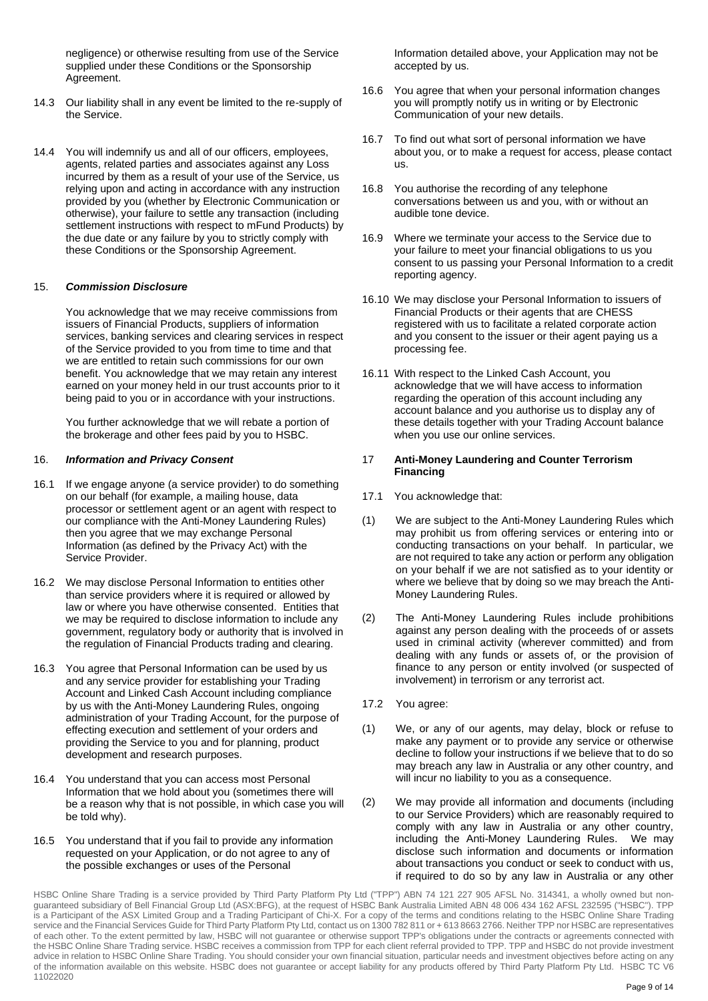negligence) or otherwise resulting from use of the Service supplied under these Conditions or the Sponsorship Agreement.

- 14.3 Our liability shall in any event be limited to the re-supply of the Service.
- 14.4 You will indemnify us and all of our officers, employees, agents, related parties and associates against any Loss incurred by them as a result of your use of the Service, us relying upon and acting in accordance with any instruction provided by you (whether by Electronic Communication or otherwise), your failure to settle any transaction (including settlement instructions with respect to mFund Products) by the due date or any failure by you to strictly comply with these Conditions or the Sponsorship Agreement.

# 15. *Commission Disclosure*

You acknowledge that we may receive commissions from issuers of Financial Products, suppliers of information services, banking services and clearing services in respect of the Service provided to you from time to time and that we are entitled to retain such commissions for our own benefit. You acknowledge that we may retain any interest earned on your money held in our trust accounts prior to it being paid to you or in accordance with your instructions.

You further acknowledge that we will rebate a portion of the brokerage and other fees paid by you to HSBC.

#### 16. *Information and Privacy Consent*

- 16.1 If we engage anyone (a service provider) to do something on our behalf (for example, a mailing house, data processor or settlement agent or an agent with respect to our compliance with the Anti-Money Laundering Rules) then you agree that we may exchange Personal Information (as defined by the Privacy Act) with the Service Provider.
- 16.2 We may disclose Personal Information to entities other than service providers where it is required or allowed by law or where you have otherwise consented. Entities that we may be required to disclose information to include any government, regulatory body or authority that is involved in the regulation of Financial Products trading and clearing.
- 16.3 You agree that Personal Information can be used by us and any service provider for establishing your Trading Account and Linked Cash Account including compliance by us with the Anti-Money Laundering Rules, ongoing administration of your Trading Account, for the purpose of effecting execution and settlement of your orders and providing the Service to you and for planning, product development and research purposes.
- 16.4 You understand that you can access most Personal Information that we hold about you (sometimes there will be a reason why that is not possible, in which case you will be told why).
- 16.5 You understand that if you fail to provide any information requested on your Application, or do not agree to any of the possible exchanges or uses of the Personal

Information detailed above, your Application may not be accepted by us.

- 16.6 You agree that when your personal information changes you will promptly notify us in writing or by Electronic Communication of your new details.
- 16.7 To find out what sort of personal information we have about you, or to make a request for access, please contact us.
- 16.8 You authorise the recording of any telephone conversations between us and you, with or without an audible tone device.
- 16.9 Where we terminate your access to the Service due to your failure to meet your financial obligations to us you consent to us passing your Personal Information to a credit reporting agency.
- 16.10 We may disclose your Personal Information to issuers of Financial Products or their agents that are CHESS registered with us to facilitate a related corporate action and you consent to the issuer or their agent paying us a processing fee.
- 16.11 With respect to the Linked Cash Account, you acknowledge that we will have access to information regarding the operation of this account including any account balance and you authorise us to display any of these details together with your Trading Account balance when you use our online services.

#### 17 **Anti-Money Laundering and Counter Terrorism Financing**

- 17.1 You acknowledge that:
- (1) We are subject to the Anti-Money Laundering Rules which may prohibit us from offering services or entering into or conducting transactions on your behalf. In particular, we are not required to take any action or perform any obligation on your behalf if we are not satisfied as to your identity or where we believe that by doing so we may breach the Anti-Money Laundering Rules.
- (2) The Anti-Money Laundering Rules include prohibitions against any person dealing with the proceeds of or assets used in criminal activity (wherever committed) and from dealing with any funds or assets of, or the provision of finance to any person or entity involved (or suspected of involvement) in terrorism or any terrorist act.
- 17.2 You agree:
- (1) We, or any of our agents, may delay, block or refuse to make any payment or to provide any service or otherwise decline to follow your instructions if we believe that to do so may breach any law in Australia or any other country, and will incur no liability to you as a consequence.
- (2) We may provide all information and documents (including to our Service Providers) which are reasonably required to comply with any law in Australia or any other country, including the Anti-Money Laundering Rules. We may disclose such information and documents or information about transactions you conduct or seek to conduct with us, if required to do so by any law in Australia or any other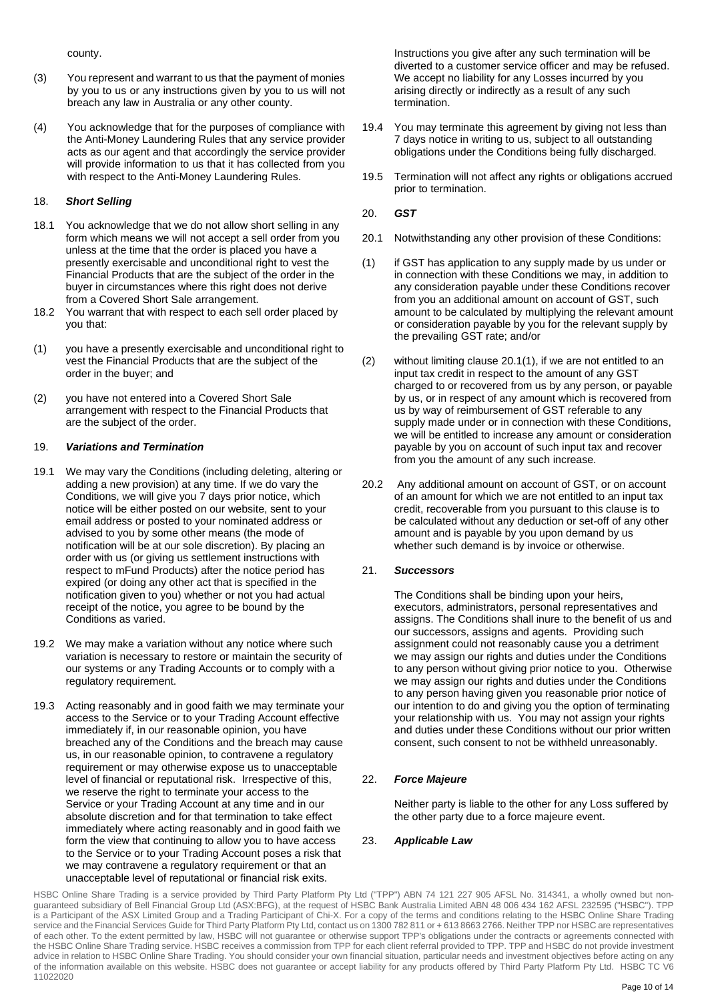county.

- (3) You represent and warrant to us that the payment of monies by you to us or any instructions given by you to us will not breach any law in Australia or any other county.
- (4) You acknowledge that for the purposes of compliance with the Anti-Money Laundering Rules that any service provider acts as our agent and that accordingly the service provider will provide information to us that it has collected from you with respect to the Anti-Money Laundering Rules.

# 18. *Short Selling*

- 18.1 You acknowledge that we do not allow short selling in any form which means we will not accept a sell order from you unless at the time that the order is placed you have a presently exercisable and unconditional right to vest the Financial Products that are the subject of the order in the buyer in circumstances where this right does not derive from a Covered Short Sale arrangement.
- 18.2 You warrant that with respect to each sell order placed by you that:
- (1) you have a presently exercisable and unconditional right to vest the Financial Products that are the subject of the order in the buyer; and
- (2) you have not entered into a Covered Short Sale arrangement with respect to the Financial Products that are the subject of the order.

# 19. *Variations and Termination*

- 19.1 We may vary the Conditions (including deleting, altering or adding a new provision) at any time. If we do vary the Conditions, we will give you 7 days prior notice, which notice will be either posted on our website, sent to your email address or posted to your nominated address or advised to you by some other means (the mode of notification will be at our sole discretion). By placing an order with us (or giving us settlement instructions with respect to mFund Products) after the notice period has expired (or doing any other act that is specified in the notification given to you) whether or not you had actual receipt of the notice, you agree to be bound by the Conditions as varied.
- 19.2 We may make a variation without any notice where such variation is necessary to restore or maintain the security of our systems or any Trading Accounts or to comply with a regulatory requirement.
- 19.3 Acting reasonably and in good faith we may terminate your access to the Service or to your Trading Account effective immediately if, in our reasonable opinion, you have breached any of the Conditions and the breach may cause us, in our reasonable opinion, to contravene a regulatory requirement or may otherwise expose us to unacceptable level of financial or reputational risk. Irrespective of this, we reserve the right to terminate your access to the Service or your Trading Account at any time and in our absolute discretion and for that termination to take effect immediately where acting reasonably and in good faith we form the view that continuing to allow you to have access to the Service or to your Trading Account poses a risk that we may contravene a regulatory requirement or that an unacceptable level of reputational or financial risk exits.

Instructions you give after any such termination will be diverted to a customer service officer and may be refused. We accept no liability for any Losses incurred by you arising directly or indirectly as a result of any such termination.

- 19.4 You may terminate this agreement by giving not less than 7 days notice in writing to us, subject to all outstanding obligations under the Conditions being fully discharged.
- 19.5 Termination will not affect any rights or obligations accrued prior to termination.
- 20. *GST*
- 20.1 Notwithstanding any other provision of these Conditions:
- (1) if GST has application to any supply made by us under or in connection with these Conditions we may, in addition to any consideration payable under these Conditions recover from you an additional amount on account of GST, such amount to be calculated by multiplying the relevant amount or consideration payable by you for the relevant supply by the prevailing GST rate; and/or
- (2) without limiting clause 20.1(1), if we are not entitled to an input tax credit in respect to the amount of any GST charged to or recovered from us by any person, or payable by us, or in respect of any amount which is recovered from us by way of reimbursement of GST referable to any supply made under or in connection with these Conditions, we will be entitled to increase any amount or consideration payable by you on account of such input tax and recover from you the amount of any such increase.
- 20.2 Any additional amount on account of GST, or on account of an amount for which we are not entitled to an input tax credit, recoverable from you pursuant to this clause is to be calculated without any deduction or set-off of any other amount and is payable by you upon demand by us whether such demand is by invoice or otherwise.

# 21. *Successors*

The Conditions shall be binding upon your heirs, executors, administrators, personal representatives and assigns. The Conditions shall inure to the benefit of us and our successors, assigns and agents. Providing such assignment could not reasonably cause you a detriment we may assign our rights and duties under the Conditions to any person without giving prior notice to you. Otherwise we may assign our rights and duties under the Conditions to any person having given you reasonable prior notice of our intention to do and giving you the option of terminating your relationship with us. You may not assign your rights and duties under these Conditions without our prior written consent, such consent to not be withheld unreasonably.

# 22. *Force Majeure*

Neither party is liable to the other for any Loss suffered by the other party due to a force majeure event.

### 23. *Applicable Law*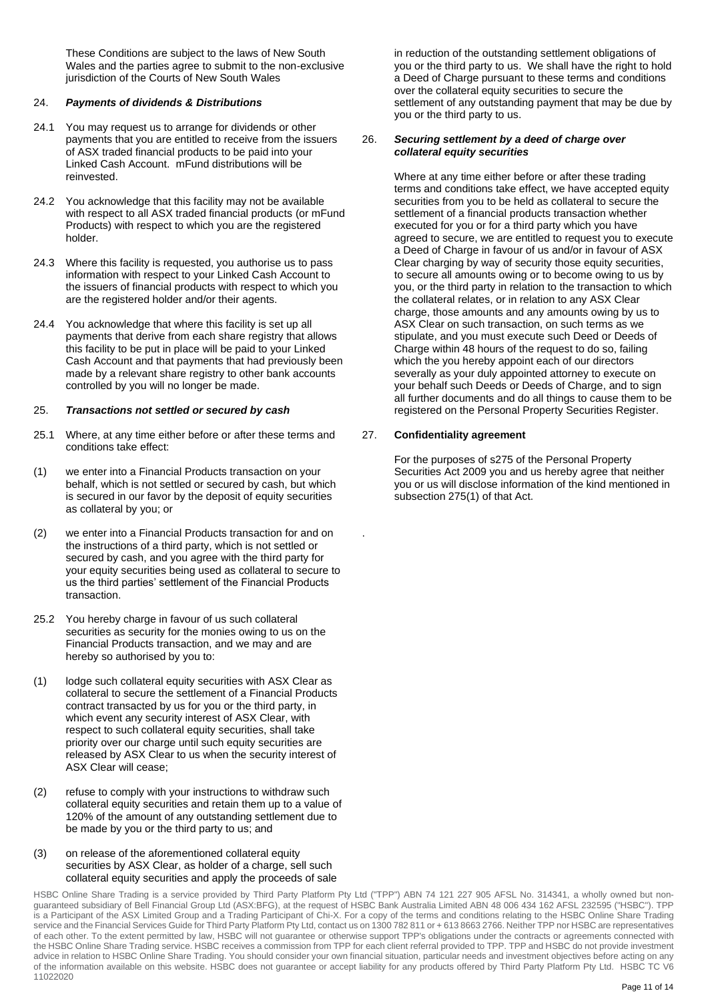These Conditions are subject to the laws of New South Wales and the parties agree to submit to the non-exclusive jurisdiction of the Courts of New South Wales

# 24. *Payments of dividends & Distributions*

- 24.1 You may request us to arrange for dividends or other payments that you are entitled to receive from the issuers of ASX traded financial products to be paid into your Linked Cash Account. mFund distributions will be reinvested.
- 24.2 You acknowledge that this facility may not be available with respect to all ASX traded financial products (or mFund Products) with respect to which you are the registered holder.
- 24.3 Where this facility is requested, you authorise us to pass information with respect to your Linked Cash Account to the issuers of financial products with respect to which you are the registered holder and/or their agents.
- 24.4 You acknowledge that where this facility is set up all payments that derive from each share registry that allows this facility to be put in place will be paid to your Linked Cash Account and that payments that had previously been made by a relevant share registry to other bank accounts controlled by you will no longer be made.

# 25. *Transactions not settled or secured by cash*

- 25.1 Where, at any time either before or after these terms and conditions take effect:
- (1) we enter into a Financial Products transaction on your behalf, which is not settled or secured by cash, but which is secured in our favor by the deposit of equity securities as collateral by you; or
- (2) we enter into a Financial Products transaction for and on the instructions of a third party, which is not settled or secured by cash, and you agree with the third party for your equity securities being used as collateral to secure to us the third parties' settlement of the Financial Products transaction.
- 25.2 You hereby charge in favour of us such collateral securities as security for the monies owing to us on the Financial Products transaction, and we may and are hereby so authorised by you to:
- (1) lodge such collateral equity securities with ASX Clear as collateral to secure the settlement of a Financial Products contract transacted by us for you or the third party, in which event any security interest of ASX Clear, with respect to such collateral equity securities, shall take priority over our charge until such equity securities are released by ASX Clear to us when the security interest of ASX Clear will cease;
- (2) refuse to comply with your instructions to withdraw such collateral equity securities and retain them up to a value of 120% of the amount of any outstanding settlement due to be made by you or the third party to us; and
- (3) on release of the aforementioned collateral equity securities by ASX Clear, as holder of a charge, sell such collateral equity securities and apply the proceeds of sale

in reduction of the outstanding settlement obligations of you or the third party to us. We shall have the right to hold a Deed of Charge pursuant to these terms and conditions over the collateral equity securities to secure the settlement of any outstanding payment that may be due by you or the third party to us.

### 26. *Securing settlement by a deed of charge over collateral equity securities*

Where at any time either before or after these trading terms and conditions take effect, we have accepted equity securities from you to be held as collateral to secure the settlement of a financial products transaction whether executed for you or for a third party which you have agreed to secure, we are entitled to request you to execute a Deed of Charge in favour of us and/or in favour of ASX Clear charging by way of security those equity securities, to secure all amounts owing or to become owing to us by you, or the third party in relation to the transaction to which the collateral relates, or in relation to any ASX Clear charge, those amounts and any amounts owing by us to ASX Clear on such transaction, on such terms as we stipulate, and you must execute such Deed or Deeds of Charge within 48 hours of the request to do so, failing which the you hereby appoint each of our directors severally as your duly appointed attorney to execute on your behalf such Deeds or Deeds of Charge, and to sign all further documents and do all things to cause them to be registered on the Personal Property Securities Register.

# 27. **Confidentiality agreement**

For the purposes of s275 of the Personal Property Securities Act 2009 you and us hereby agree that neither you or us will disclose information of the kind mentioned in subsection 275(1) of that Act.

HSBC Online Share Trading is a service provided by Third Party Platform Pty Ltd ("TPP") ABN 74 121 227 905 AFSL No. 314341, a wholly owned but nonguaranteed subsidiary of Bell Financial Group Ltd (ASX:BFG), at the request of HSBC Bank Australia Limited ABN 48 006 434 162 AFSL 232595 ("HSBC"). TPP is a Participant of the ASX Limited Group and a Trading Participant of Chi-X. For a copy of the terms and conditions relating to the HSBC Online Share Trading service and the Financial Services Guide for Third Party Platform Pty Ltd, contact us on 1300 782 811 or + 613 8663 2766. Neither TPP nor HSBC are representatives of each other. To the extent permitted by law, HSBC will not guarantee or otherwise support TPP's obligations under the contracts or agreements connected with the HSBC Online Share Trading service. HSBC receives a commission from TPP for each client referral provided to TPP. TPP and HSBC do not provide investment advice in relation to HSBC Online Share Trading. You should consider your own financial situation, particular needs and investment objectives before acting on any of the information available on this website. HSBC does not guarantee or accept liability for any products offered by Third Party Platform Pty Ltd. HSBC TC V6 11022020

.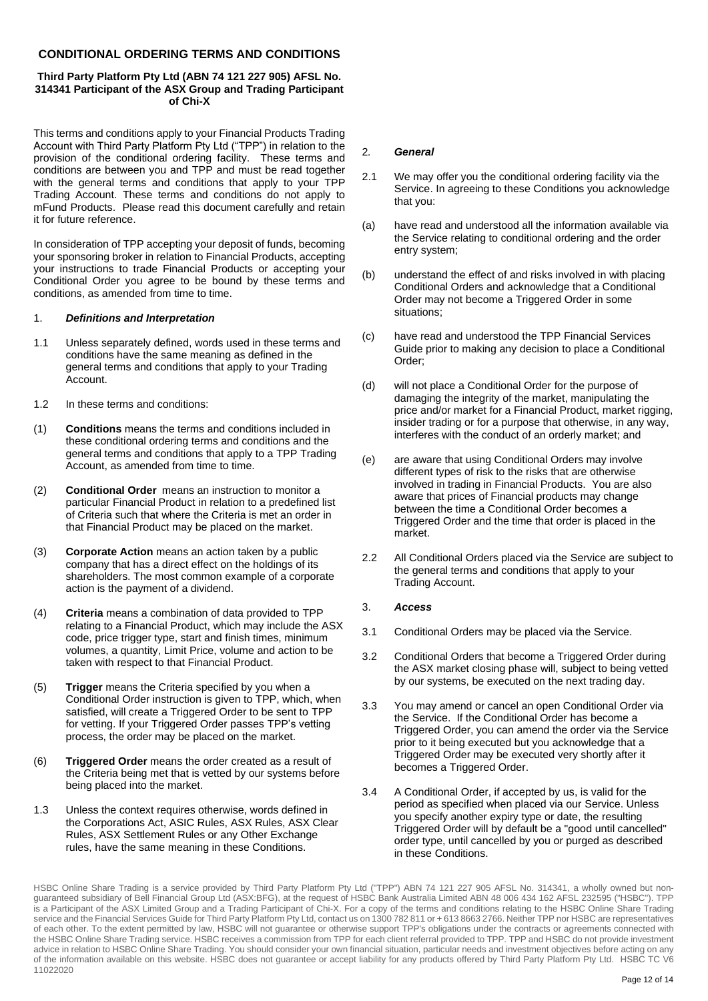# **CONDITIONAL ORDERING TERMS AND CONDITIONS**

# **Third Party Platform Pty Ltd (ABN 74 121 227 905) AFSL No. 314341 Participant of the ASX Group and Trading Participant of Chi-X**

This terms and conditions apply to your Financial Products Trading Account with Third Party Platform Pty Ltd ("TPP") in relation to the provision of the conditional ordering facility. These terms and conditions are between you and TPP and must be read together with the general terms and conditions that apply to your TPP Trading Account. These terms and conditions do not apply to mFund Products. Please read this document carefully and retain it for future reference.

In consideration of TPP accepting your deposit of funds, becoming your sponsoring broker in relation to Financial Products, accepting your instructions to trade Financial Products or accepting your Conditional Order you agree to be bound by these terms and conditions, as amended from time to time.

### 1. *Definitions and Interpretation*

- 1.1 Unless separately defined, words used in these terms and conditions have the same meaning as defined in the general terms and conditions that apply to your Trading Account.
- 1.2 In these terms and conditions:
- (1) **Conditions** means the terms and conditions included in these conditional ordering terms and conditions and the general terms and conditions that apply to a TPP Trading Account, as amended from time to time.
- (2) **Conditional Order** means an instruction to monitor a particular Financial Product in relation to a predefined list of Criteria such that where the Criteria is met an order in that Financial Product may be placed on the market.
- (3) **Corporate Action** means an action taken by a public company that has a direct effect on the holdings of its shareholders. The most common example of a corporate action is the payment of a dividend.
- (4) **Criteria** means a combination of data provided to TPP relating to a Financial Product, which may include the ASX code, price trigger type, start and finish times, minimum volumes, a quantity, Limit Price, volume and action to be taken with respect to that Financial Product.
- (5) **Trigger** means the Criteria specified by you when a Conditional Order instruction is given to TPP, which, when satisfied, will create a Triggered Order to be sent to TPP for vetting. If your Triggered Order passes TPP's vetting process, the order may be placed on the market.
- (6) **Triggered Order** means the order created as a result of the Criteria being met that is vetted by our systems before being placed into the market.
- 1.3 Unless the context requires otherwise, words defined in the Corporations Act, ASIC Rules, ASX Rules, ASX Clear Rules, ASX Settlement Rules or any Other Exchange rules, have the same meaning in these Conditions.

### 2*. General*

- 2.1 We may offer you the conditional ordering facility via the Service. In agreeing to these Conditions you acknowledge that you:
- (a) have read and understood all the information available via the Service relating to conditional ordering and the order entry system;
- (b) understand the effect of and risks involved in with placing Conditional Orders and acknowledge that a Conditional Order may not become a Triggered Order in some situations;
- (c) have read and understood the TPP Financial Services Guide prior to making any decision to place a Conditional Order;
- (d) will not place a Conditional Order for the purpose of damaging the integrity of the market, manipulating the price and/or market for a Financial Product, market rigging, insider trading or for a purpose that otherwise, in any way, interferes with the conduct of an orderly market; and
- (e) are aware that using Conditional Orders may involve different types of risk to the risks that are otherwise involved in trading in Financial Products. You are also aware that prices of Financial products may change between the time a Conditional Order becomes a Triggered Order and the time that order is placed in the market.
- 2.2 All Conditional Orders placed via the Service are subject to the general terms and conditions that apply to your Trading Account.
- 3. *Access*
- 3.1 Conditional Orders may be placed via the Service.
- 3.2 Conditional Orders that become a Triggered Order during the ASX market closing phase will, subject to being vetted by our systems, be executed on the next trading day.
- 3.3 You may amend or cancel an open Conditional Order via the Service. If the Conditional Order has become a Triggered Order, you can amend the order via the Service prior to it being executed but you acknowledge that a Triggered Order may be executed very shortly after it becomes a Triggered Order.
- 3.4 A Conditional Order, if accepted by us, is valid for the period as specified when placed via our Service. Unless you specify another expiry type or date, the resulting Triggered Order will by default be a "good until cancelled" order type, until cancelled by you or purged as described in these Conditions.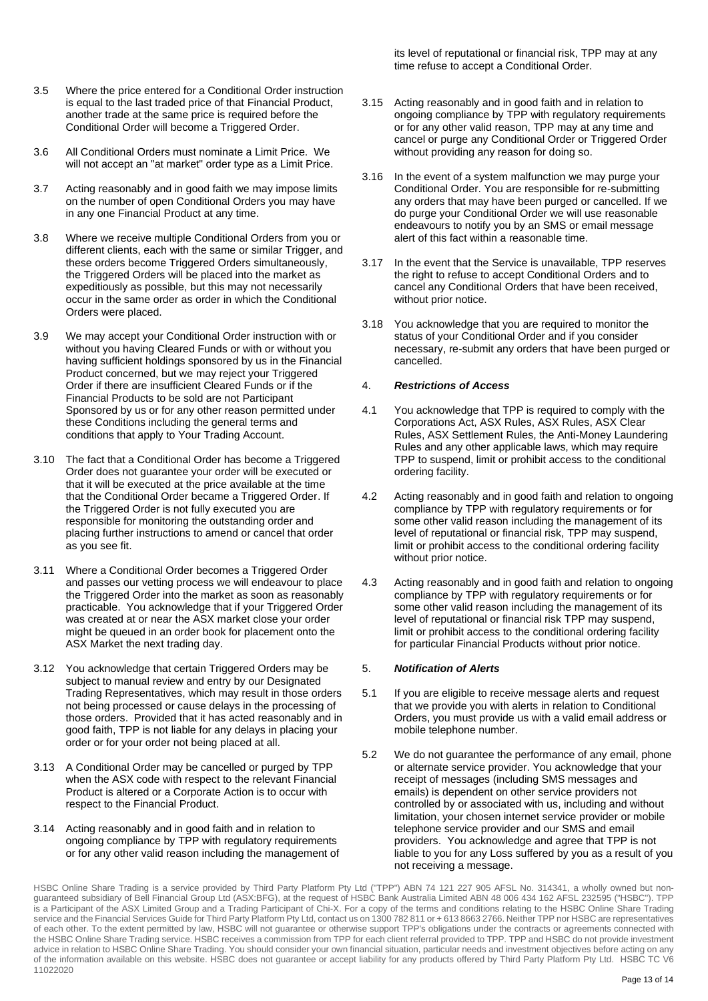its level of reputational or financial risk, TPP may at any time refuse to accept a Conditional Order.

- 3.5 Where the price entered for a Conditional Order instruction is equal to the last traded price of that Financial Product, another trade at the same price is required before the Conditional Order will become a Triggered Order.
- 3.6 All Conditional Orders must nominate a Limit Price. We will not accept an "at market" order type as a Limit Price.
- 3.7 Acting reasonably and in good faith we may impose limits on the number of open Conditional Orders you may have in any one Financial Product at any time.
- 3.8 Where we receive multiple Conditional Orders from you or different clients, each with the same or similar Trigger, and these orders become Triggered Orders simultaneously, the Triggered Orders will be placed into the market as expeditiously as possible, but this may not necessarily occur in the same order as order in which the Conditional Orders were placed.
- 3.9 We may accept your Conditional Order instruction with or without you having Cleared Funds or with or without you having sufficient holdings sponsored by us in the Financial Product concerned, but we may reject your Triggered Order if there are insufficient Cleared Funds or if the Financial Products to be sold are not Participant Sponsored by us or for any other reason permitted under these Conditions including the general terms and conditions that apply to Your Trading Account.
- 3.10 The fact that a Conditional Order has become a Triggered Order does not guarantee your order will be executed or that it will be executed at the price available at the time that the Conditional Order became a Triggered Order. If the Triggered Order is not fully executed you are responsible for monitoring the outstanding order and placing further instructions to amend or cancel that order as you see fit.
- 3.11 Where a Conditional Order becomes a Triggered Order and passes our vetting process we will endeavour to place the Triggered Order into the market as soon as reasonably practicable. You acknowledge that if your Triggered Order was created at or near the ASX market close your order might be queued in an order book for placement onto the ASX Market the next trading day.
- 3.12 You acknowledge that certain Triggered Orders may be subject to manual review and entry by our Designated Trading Representatives, which may result in those orders not being processed or cause delays in the processing of those orders. Provided that it has acted reasonably and in good faith, TPP is not liable for any delays in placing your order or for your order not being placed at all.
- 3.13 A Conditional Order may be cancelled or purged by TPP when the ASX code with respect to the relevant Financial Product is altered or a Corporate Action is to occur with respect to the Financial Product.
- 3.14 Acting reasonably and in good faith and in relation to ongoing compliance by TPP with regulatory requirements or for any other valid reason including the management of
- 3.15 Acting reasonably and in good faith and in relation to ongoing compliance by TPP with regulatory requirements or for any other valid reason, TPP may at any time and cancel or purge any Conditional Order or Triggered Order without providing any reason for doing so.
- 3.16 In the event of a system malfunction we may purge your Conditional Order. You are responsible for re-submitting any orders that may have been purged or cancelled. If we do purge your Conditional Order we will use reasonable endeavours to notify you by an SMS or email message alert of this fact within a reasonable time.
- 3.17 In the event that the Service is unavailable, TPP reserves the right to refuse to accept Conditional Orders and to cancel any Conditional Orders that have been received, without prior notice.
- 3.18 You acknowledge that you are required to monitor the status of your Conditional Order and if you consider necessary, re-submit any orders that have been purged or cancelled.

# 4. *Restrictions of Access*

- 4.1 You acknowledge that TPP is required to comply with the Corporations Act, ASX Rules, ASX Rules, ASX Clear Rules, ASX Settlement Rules, the Anti-Money Laundering Rules and any other applicable laws, which may require TPP to suspend, limit or prohibit access to the conditional ordering facility.
- 4.2 Acting reasonably and in good faith and relation to ongoing compliance by TPP with regulatory requirements or for some other valid reason including the management of its level of reputational or financial risk, TPP may suspend, limit or prohibit access to the conditional ordering facility without prior notice.
- 4.3 Acting reasonably and in good faith and relation to ongoing compliance by TPP with regulatory requirements or for some other valid reason including the management of its level of reputational or financial risk TPP may suspend, limit or prohibit access to the conditional ordering facility for particular Financial Products without prior notice.

# 5. *Notification of Alerts*

- 5.1 If you are eligible to receive message alerts and request that we provide you with alerts in relation to Conditional Orders, you must provide us with a valid email address or mobile telephone number.
- 5.2 We do not guarantee the performance of any email, phone or alternate service provider. You acknowledge that your receipt of messages (including SMS messages and emails) is dependent on other service providers not controlled by or associated with us, including and without limitation, your chosen internet service provider or mobile telephone service provider and our SMS and email providers. You acknowledge and agree that TPP is not liable to you for any Loss suffered by you as a result of you not receiving a message.